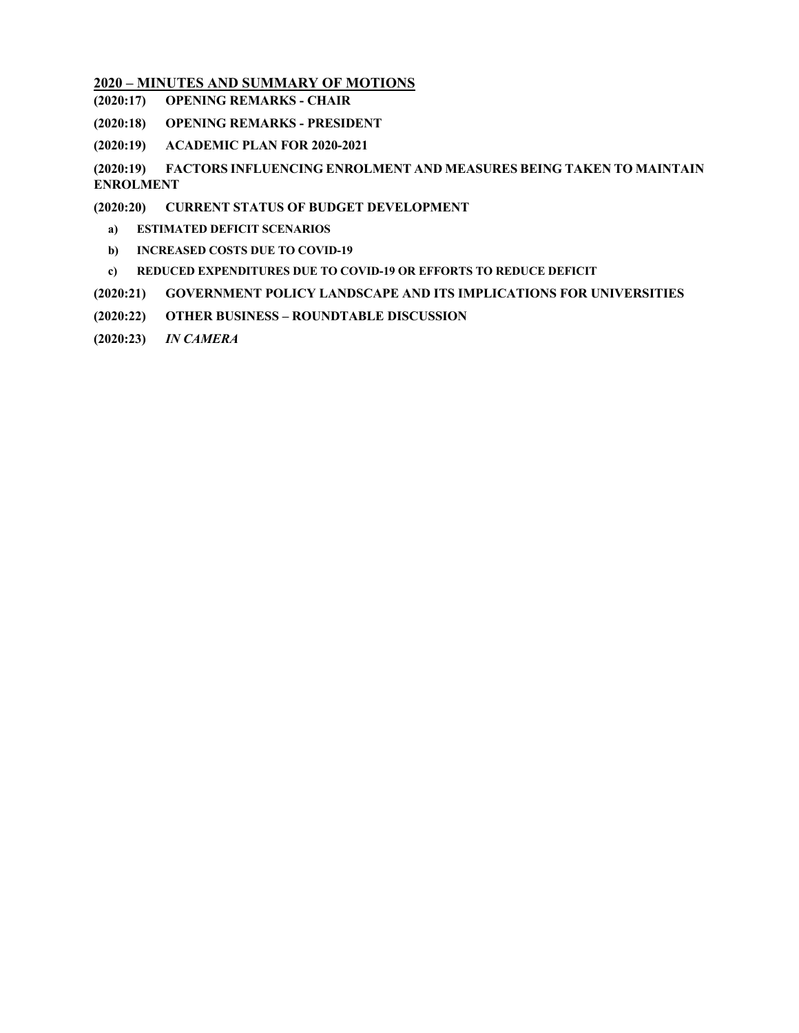#### **2020 – MINUTES AND SUMMARY OF MOTIONS**

- **(2020:17) OPENING REMARKS - CHAIR**
- **(2020:18) OPENING REMARKS - PRESIDENT**
- **(2020:19) ACADEMIC PLAN FOR 2020-2021**

**(2020:19) FACTORS INFLUENCING ENROLMENT AND MEASURES BEING TAKEN TO MAINTAIN ENROLMENT**

- **(2020:20) CURRENT STATUS OF BUDGET DEVELOPMENT**
	- **a) ESTIMATED DEFICIT SCENARIOS**
	- **b) INCREASED COSTS DUE TO COVID-19**
	- **c) REDUCED EXPENDITURES DUE TO COVID-19 OR EFFORTS TO REDUCE DEFICIT**
- **(2020:21) GOVERNMENT POLICY LANDSCAPE AND ITS IMPLICATIONS FOR UNIVERSITIES**
- **(2020:22) OTHER BUSINESS – ROUNDTABLE DISCUSSION**
- **(2020:23)** *IN CAMERA*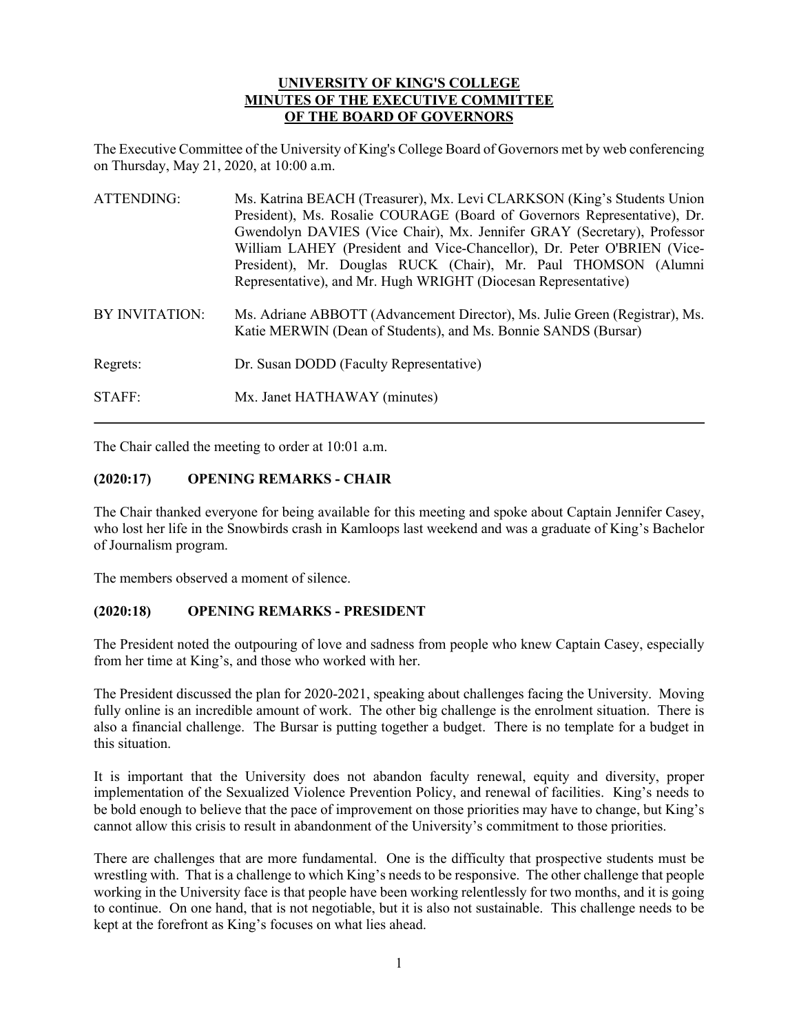#### **UNIVERSITY OF KING'S COLLEGE MINUTES OF THE EXECUTIVE COMMITTEE OF THE BOARD OF GOVERNORS**

The Executive Committee of the University of King's College Board of Governors met by web conferencing on Thursday, May 21, 2020, at 10:00 a.m.

| ATTENDING:     | Ms. Katrina BEACH (Treasurer), Mx. Levi CLARKSON (King's Students Union<br>President), Ms. Rosalie COURAGE (Board of Governors Representative), Dr.<br>Gwendolyn DAVIES (Vice Chair), Mx. Jennifer GRAY (Secretary), Professor<br>William LAHEY (President and Vice-Chancellor), Dr. Peter O'BRIEN (Vice-<br>President), Mr. Douglas RUCK (Chair), Mr. Paul THOMSON (Alumni<br>Representative), and Mr. Hugh WRIGHT (Diocesan Representative) |
|----------------|-----------------------------------------------------------------------------------------------------------------------------------------------------------------------------------------------------------------------------------------------------------------------------------------------------------------------------------------------------------------------------------------------------------------------------------------------|
| BY INVITATION: | Ms. Adriane ABBOTT (Advancement Director), Ms. Julie Green (Registrar), Ms.<br>Katie MERWIN (Dean of Students), and Ms. Bonnie SANDS (Bursar)                                                                                                                                                                                                                                                                                                 |
| Regrets:       | Dr. Susan DODD (Faculty Representative)                                                                                                                                                                                                                                                                                                                                                                                                       |
| STAFF:         | Mx. Janet HATHAWAY (minutes)                                                                                                                                                                                                                                                                                                                                                                                                                  |

The Chair called the meeting to order at 10:01 a.m.

# **(2020:17) OPENING REMARKS - CHAIR**

The Chair thanked everyone for being available for this meeting and spoke about Captain Jennifer Casey, who lost her life in the Snowbirds crash in Kamloops last weekend and was a graduate of King's Bachelor of Journalism program.

The members observed a moment of silence.

# **(2020:18) OPENING REMARKS - PRESIDENT**

The President noted the outpouring of love and sadness from people who knew Captain Casey, especially from her time at King's, and those who worked with her.

The President discussed the plan for 2020-2021, speaking about challenges facing the University. Moving fully online is an incredible amount of work. The other big challenge is the enrolment situation. There is also a financial challenge. The Bursar is putting together a budget. There is no template for a budget in this situation.

It is important that the University does not abandon faculty renewal, equity and diversity, proper implementation of the Sexualized Violence Prevention Policy, and renewal of facilities. King's needs to be bold enough to believe that the pace of improvement on those priorities may have to change, but King's cannot allow this crisis to result in abandonment of the University's commitment to those priorities.

There are challenges that are more fundamental. One is the difficulty that prospective students must be wrestling with. That is a challenge to which King's needs to be responsive. The other challenge that people working in the University face is that people have been working relentlessly for two months, and it is going to continue. On one hand, that is not negotiable, but it is also not sustainable. This challenge needs to be kept at the forefront as King's focuses on what lies ahead.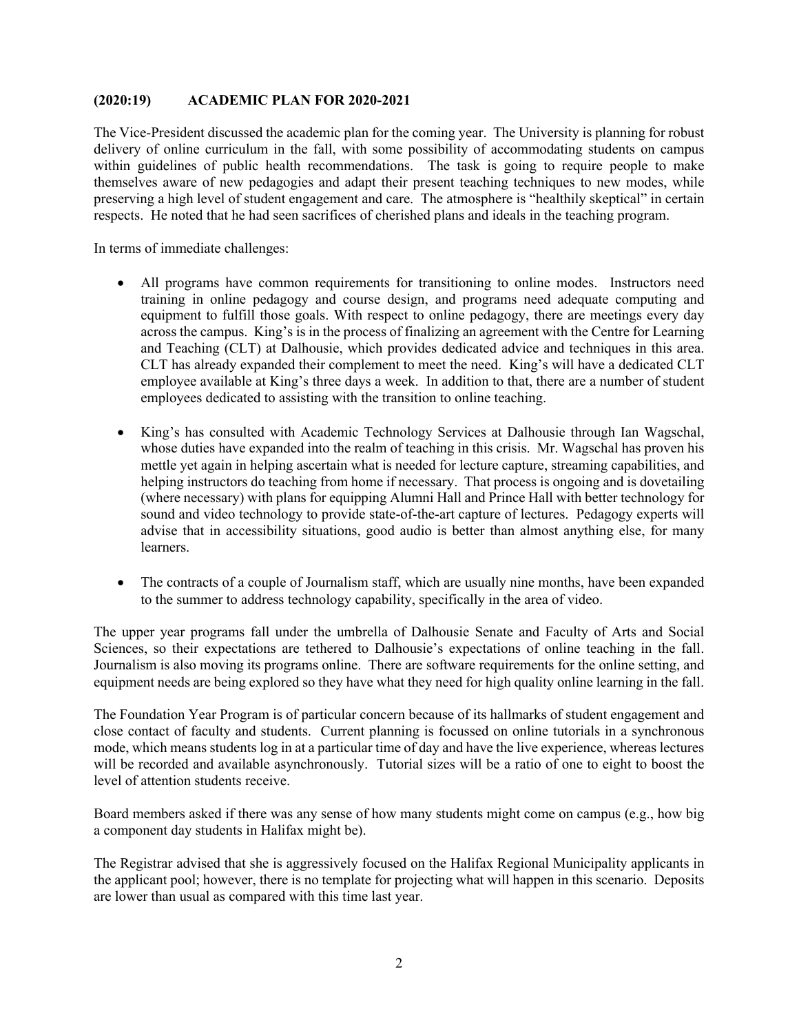### **(2020:19) ACADEMIC PLAN FOR 2020-2021**

The Vice-President discussed the academic plan for the coming year. The University is planning for robust delivery of online curriculum in the fall, with some possibility of accommodating students on campus within guidelines of public health recommendations. The task is going to require people to make themselves aware of new pedagogies and adapt their present teaching techniques to new modes, while preserving a high level of student engagement and care. The atmosphere is "healthily skeptical" in certain respects. He noted that he had seen sacrifices of cherished plans and ideals in the teaching program.

In terms of immediate challenges:

- All programs have common requirements for transitioning to online modes. Instructors need training in online pedagogy and course design, and programs need adequate computing and equipment to fulfill those goals. With respect to online pedagogy, there are meetings every day across the campus. King's is in the process of finalizing an agreement with the Centre for Learning and Teaching (CLT) at Dalhousie, which provides dedicated advice and techniques in this area. CLT has already expanded their complement to meet the need. King's will have a dedicated CLT employee available at King's three days a week. In addition to that, there are a number of student employees dedicated to assisting with the transition to online teaching.
- King's has consulted with Academic Technology Services at Dalhousie through Ian Wagschal, whose duties have expanded into the realm of teaching in this crisis. Mr. Wagschal has proven his mettle yet again in helping ascertain what is needed for lecture capture, streaming capabilities, and helping instructors do teaching from home if necessary. That process is ongoing and is dovetailing (where necessary) with plans for equipping Alumni Hall and Prince Hall with better technology for sound and video technology to provide state-of-the-art capture of lectures. Pedagogy experts will advise that in accessibility situations, good audio is better than almost anything else, for many learners.
- The contracts of a couple of Journalism staff, which are usually nine months, have been expanded to the summer to address technology capability, specifically in the area of video.

The upper year programs fall under the umbrella of Dalhousie Senate and Faculty of Arts and Social Sciences, so their expectations are tethered to Dalhousie's expectations of online teaching in the fall. Journalism is also moving its programs online. There are software requirements for the online setting, and equipment needs are being explored so they have what they need for high quality online learning in the fall.

The Foundation Year Program is of particular concern because of its hallmarks of student engagement and close contact of faculty and students. Current planning is focussed on online tutorials in a synchronous mode, which means students log in at a particular time of day and have the live experience, whereas lectures will be recorded and available asynchronously. Tutorial sizes will be a ratio of one to eight to boost the level of attention students receive.

Board members asked if there was any sense of how many students might come on campus (e.g., how big a component day students in Halifax might be).

The Registrar advised that she is aggressively focused on the Halifax Regional Municipality applicants in the applicant pool; however, there is no template for projecting what will happen in this scenario. Deposits are lower than usual as compared with this time last year.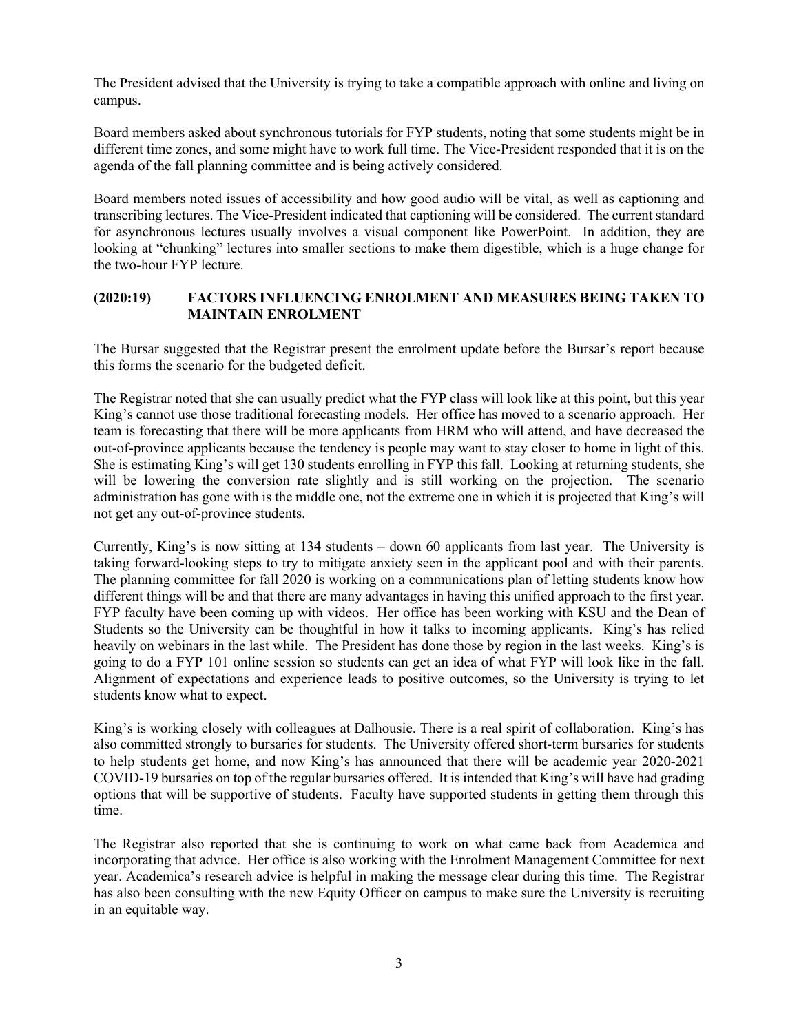The President advised that the University is trying to take a compatible approach with online and living on campus.

Board members asked about synchronous tutorials for FYP students, noting that some students might be in different time zones, and some might have to work full time. The Vice-President responded that it is on the agenda of the fall planning committee and is being actively considered.

Board members noted issues of accessibility and how good audio will be vital, as well as captioning and transcribing lectures. The Vice-President indicated that captioning will be considered. The current standard for asynchronous lectures usually involves a visual component like PowerPoint. In addition, they are looking at "chunking" lectures into smaller sections to make them digestible, which is a huge change for the two-hour FYP lecture.

## **(2020:19) FACTORS INFLUENCING ENROLMENT AND MEASURES BEING TAKEN TO MAINTAIN ENROLMENT**

The Bursar suggested that the Registrar present the enrolment update before the Bursar's report because this forms the scenario for the budgeted deficit.

The Registrar noted that she can usually predict what the FYP class will look like at this point, but this year King's cannot use those traditional forecasting models. Her office has moved to a scenario approach. Her team is forecasting that there will be more applicants from HRM who will attend, and have decreased the out-of-province applicants because the tendency is people may want to stay closer to home in light of this. She is estimating King's will get 130 students enrolling in FYP this fall. Looking at returning students, she will be lowering the conversion rate slightly and is still working on the projection. The scenario administration has gone with is the middle one, not the extreme one in which it is projected that King's will not get any out-of-province students.

Currently, King's is now sitting at 134 students – down 60 applicants from last year. The University is taking forward-looking steps to try to mitigate anxiety seen in the applicant pool and with their parents. The planning committee for fall 2020 is working on a communications plan of letting students know how different things will be and that there are many advantages in having this unified approach to the first year. FYP faculty have been coming up with videos. Her office has been working with KSU and the Dean of Students so the University can be thoughtful in how it talks to incoming applicants. King's has relied heavily on webinars in the last while. The President has done those by region in the last weeks. King's is going to do a FYP 101 online session so students can get an idea of what FYP will look like in the fall. Alignment of expectations and experience leads to positive outcomes, so the University is trying to let students know what to expect.

King's is working closely with colleagues at Dalhousie. There is a real spirit of collaboration. King's has also committed strongly to bursaries for students. The University offered short-term bursaries for students to help students get home, and now King's has announced that there will be academic year 2020-2021 COVID-19 bursaries on top of the regular bursaries offered. It is intended that King's will have had grading options that will be supportive of students. Faculty have supported students in getting them through this time.

The Registrar also reported that she is continuing to work on what came back from Academica and incorporating that advice. Her office is also working with the Enrolment Management Committee for next year. Academica's research advice is helpful in making the message clear during this time. The Registrar has also been consulting with the new Equity Officer on campus to make sure the University is recruiting in an equitable way.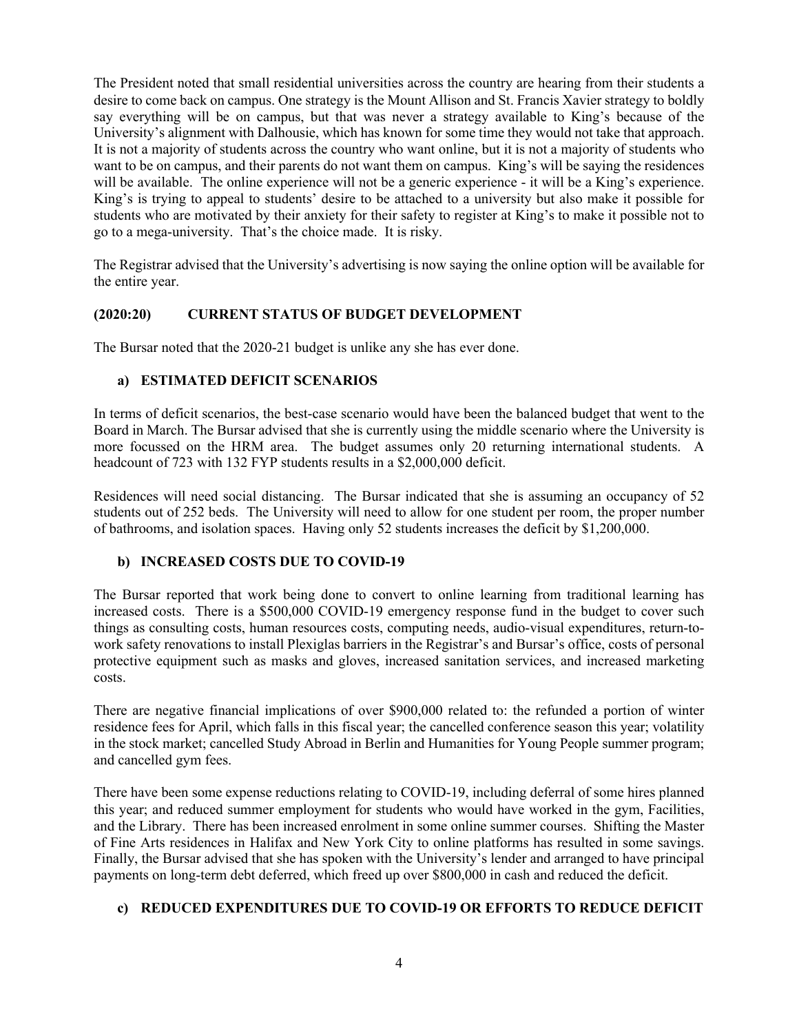The President noted that small residential universities across the country are hearing from their students a desire to come back on campus. One strategy is the Mount Allison and St. Francis Xavier strategy to boldly say everything will be on campus, but that was never a strategy available to King's because of the University's alignment with Dalhousie, which has known for some time they would not take that approach. It is not a majority of students across the country who want online, but it is not a majority of students who want to be on campus, and their parents do not want them on campus. King's will be saying the residences will be available. The online experience will not be a generic experience - it will be a King's experience. King's is trying to appeal to students' desire to be attached to a university but also make it possible for students who are motivated by their anxiety for their safety to register at King's to make it possible not to go to a mega-university. That's the choice made. It is risky.

The Registrar advised that the University's advertising is now saying the online option will be available for the entire year.

## **(2020:20) CURRENT STATUS OF BUDGET DEVELOPMENT**

The Bursar noted that the 2020-21 budget is unlike any she has ever done.

## **a) ESTIMATED DEFICIT SCENARIOS**

In terms of deficit scenarios, the best-case scenario would have been the balanced budget that went to the Board in March. The Bursar advised that she is currently using the middle scenario where the University is more focussed on the HRM area. The budget assumes only 20 returning international students. A headcount of 723 with 132 FYP students results in a \$2,000,000 deficit.

Residences will need social distancing. The Bursar indicated that she is assuming an occupancy of 52 students out of 252 beds. The University will need to allow for one student per room, the proper number of bathrooms, and isolation spaces. Having only 52 students increases the deficit by \$1,200,000.

#### **b) INCREASED COSTS DUE TO COVID-19**

The Bursar reported that work being done to convert to online learning from traditional learning has increased costs. There is a \$500,000 COVID-19 emergency response fund in the budget to cover such things as consulting costs, human resources costs, computing needs, audio-visual expenditures, return-towork safety renovations to install Plexiglas barriers in the Registrar's and Bursar's office, costs of personal protective equipment such as masks and gloves, increased sanitation services, and increased marketing costs.

There are negative financial implications of over \$900,000 related to: the refunded a portion of winter residence fees for April, which falls in this fiscal year; the cancelled conference season this year; volatility in the stock market; cancelled Study Abroad in Berlin and Humanities for Young People summer program; and cancelled gym fees.

There have been some expense reductions relating to COVID-19, including deferral of some hires planned this year; and reduced summer employment for students who would have worked in the gym, Facilities, and the Library. There has been increased enrolment in some online summer courses. Shifting the Master of Fine Arts residences in Halifax and New York City to online platforms has resulted in some savings. Finally, the Bursar advised that she has spoken with the University's lender and arranged to have principal payments on long-term debt deferred, which freed up over \$800,000 in cash and reduced the deficit.

# **c) REDUCED EXPENDITURES DUE TO COVID-19 OR EFFORTS TO REDUCE DEFICIT**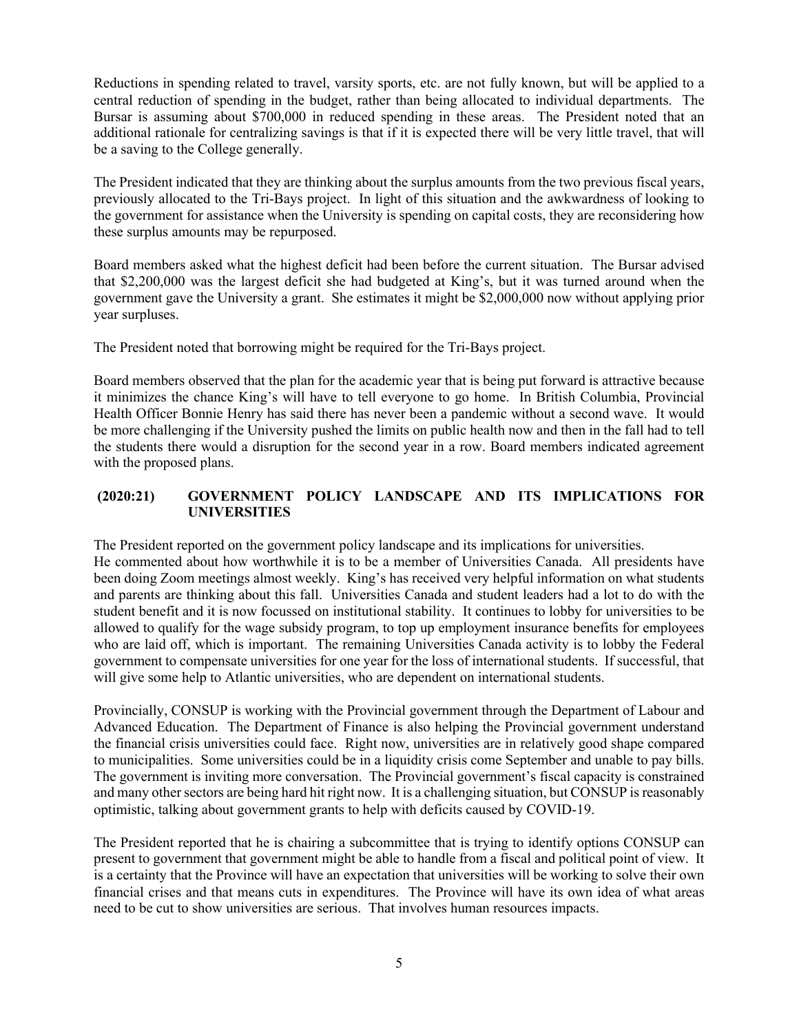Reductions in spending related to travel, varsity sports, etc. are not fully known, but will be applied to a central reduction of spending in the budget, rather than being allocated to individual departments. The Bursar is assuming about \$700,000 in reduced spending in these areas. The President noted that an additional rationale for centralizing savings is that if it is expected there will be very little travel, that will be a saving to the College generally.

The President indicated that they are thinking about the surplus amounts from the two previous fiscal years, previously allocated to the Tri-Bays project. In light of this situation and the awkwardness of looking to the government for assistance when the University is spending on capital costs, they are reconsidering how these surplus amounts may be repurposed.

Board members asked what the highest deficit had been before the current situation. The Bursar advised that \$2,200,000 was the largest deficit she had budgeted at King's, but it was turned around when the government gave the University a grant. She estimates it might be \$2,000,000 now without applying prior year surpluses.

The President noted that borrowing might be required for the Tri-Bays project.

Board members observed that the plan for the academic year that is being put forward is attractive because it minimizes the chance King's will have to tell everyone to go home. In British Columbia, Provincial Health Officer Bonnie Henry has said there has never been a pandemic without a second wave. It would be more challenging if the University pushed the limits on public health now and then in the fall had to tell the students there would a disruption for the second year in a row. Board members indicated agreement with the proposed plans.

## **(2020:21) GOVERNMENT POLICY LANDSCAPE AND ITS IMPLICATIONS FOR UNIVERSITIES**

The President reported on the government policy landscape and its implications for universities. He commented about how worthwhile it is to be a member of Universities Canada. All presidents have been doing Zoom meetings almost weekly. King's has received very helpful information on what students and parents are thinking about this fall. Universities Canada and student leaders had a lot to do with the student benefit and it is now focussed on institutional stability. It continues to lobby for universities to be allowed to qualify for the wage subsidy program, to top up employment insurance benefits for employees who are laid off, which is important. The remaining Universities Canada activity is to lobby the Federal government to compensate universities for one year for the loss of international students. If successful, that will give some help to Atlantic universities, who are dependent on international students.

Provincially, CONSUP is working with the Provincial government through the Department of Labour and Advanced Education. The Department of Finance is also helping the Provincial government understand the financial crisis universities could face. Right now, universities are in relatively good shape compared to municipalities. Some universities could be in a liquidity crisis come September and unable to pay bills. The government is inviting more conversation. The Provincial government's fiscal capacity is constrained and many other sectors are being hard hit right now. It is a challenging situation, but CONSUP is reasonably optimistic, talking about government grants to help with deficits caused by COVID-19.

The President reported that he is chairing a subcommittee that is trying to identify options CONSUP can present to government that government might be able to handle from a fiscal and political point of view. It is a certainty that the Province will have an expectation that universities will be working to solve their own financial crises and that means cuts in expenditures. The Province will have its own idea of what areas need to be cut to show universities are serious. That involves human resources impacts.